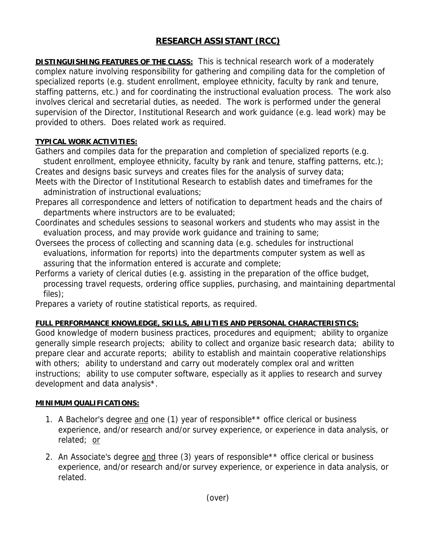## **RESEARCH ASSISTANT (RCC)**

**DISTINGUISHING FEATURES OF THE CLASS:** This is technical research work of a moderately complex nature involving responsibility for gathering and compiling data for the completion of specialized reports (e.g. student enrollment, employee ethnicity, faculty by rank and tenure, staffing patterns, etc.) and for coordinating the instructional evaluation process. The work also involves clerical and secretarial duties, as needed. The work is performed under the general supervision of the Director, Institutional Research and work guidance (e.g. lead work) may be provided to others. Does related work as required.

## **TYPICAL WORK ACTIVITIES:**

Gathers and compiles data for the preparation and completion of specialized reports (e.g. student enrollment, employee ethnicity, faculty by rank and tenure, staffing patterns, etc.);

- Creates and designs basic surveys and creates files for the analysis of survey data; Meets with the Director of Institutional Research to establish dates and timeframes for the administration of instructional evaluations;
- Prepares all correspondence and letters of notification to department heads and the chairs of departments where instructors are to be evaluated;
- Coordinates and schedules sessions to seasonal workers and students who may assist in the evaluation process, and may provide work guidance and training to same;
- Oversees the process of collecting and scanning data (e.g. schedules for instructional evaluations, information for reports) into the departments computer system as well as assuring that the information entered is accurate and complete;
- Performs a variety of clerical duties (e.g. assisting in the preparation of the office budget, processing travel requests, ordering office supplies, purchasing, and maintaining departmental files);
- Prepares a variety of routine statistical reports, as required.

## **FULL PERFORMANCE KNOWLEDGE, SKILLS, ABILITIES AND PERSONAL CHARACTERISTICS:**

Good knowledge of modern business practices, procedures and equipment; ability to organize generally simple research projects; ability to collect and organize basic research data; ability to prepare clear and accurate reports; ability to establish and maintain cooperative relationships with others; ability to understand and carry out moderately complex oral and written instructions; ability to use computer software, especially as it applies to research and survey development and data analysis\*.

## **MINIMUM QUALIFICATIONS:**

- 1. A Bachelor's degree and one (1) year of responsible<sup>\*\*</sup> office clerical or business experience, and/or research and/or survey experience, or experience in data analysis, or related; or
- 2. An Associate's degree and three (3) years of responsible\*\* office clerical or business experience, and/or research and/or survey experience, or experience in data analysis, or related.